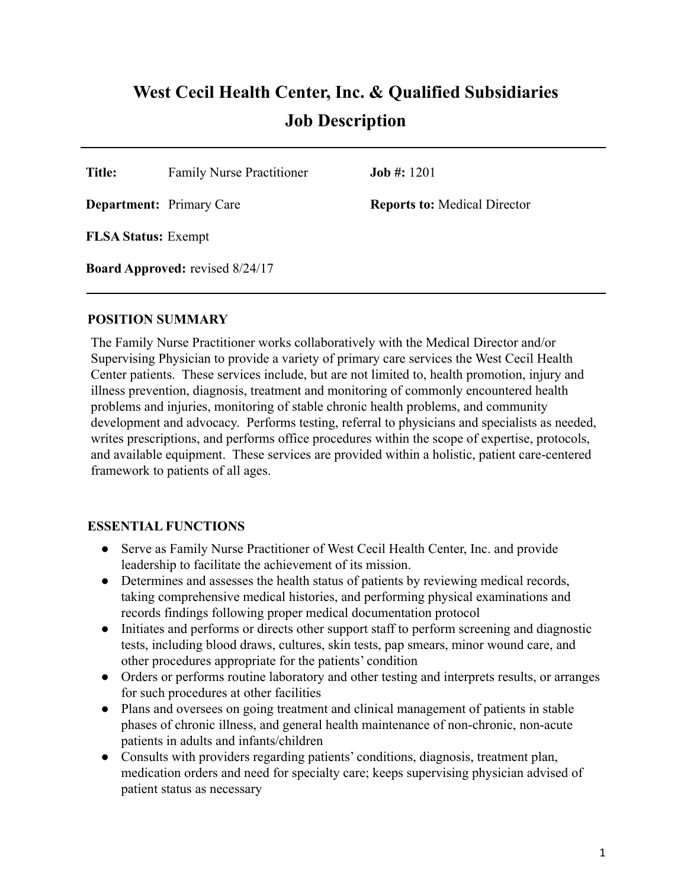# **West Cecil Health Center, Inc. & Qualified Subsidiaries Job Description**

**Title:** Family Nurse Practitioner **Job #:** 1201

**Department:** Primary Care **Reports to:** Medical Director

**FLSA Status:** Exempt

**Board Approved:** revised 8/24/17

#### **POSITION SUMMARY**

The Family Nurse Practitioner works collaboratively with the Medical Director and/or Supervising Physician to provide a variety of primary care services the West Cecil Health Center patients. These services include, but are not limited to, health promotion, injury and illness prevention, diagnosis, treatment and monitoring of commonly encountered health problems and injuries, monitoring of stable chronic health problems, and community development and advocacy. Performs testing, referral to physicians and specialists as needed, writes prescriptions, and performs office procedures within the scope of expertise, protocols, and available equipment. These services are provided within a holistic, patient care-centered framework to patients of all ages.

#### **ESSENTIAL FUNCTIONS**

- Serve as Family Nurse Practitioner of West Cecil Health Center, Inc. and provide leadership to facilitate the achievement of its mission.
- Determines and assesses the health status of patients by reviewing medical records, taking comprehensive medical histories, and performing physical examinations and records findings following proper medical documentation protocol
- Initiates and performs or directs other support staff to perform screening and diagnostic tests, including blood draws, cultures, skin tests, pap smears, minor wound care, and other procedures appropriate for the patients' condition
- Orders or performs routine laboratory and other testing and interprets results, or arranges for such procedures at other facilities
- Plans and oversees on going treatment and clinical management of patients in stable phases of chronic illness, and general health maintenance of non-chronic, non-acute patients in adults and infants/children
- Consults with providers regarding patients' conditions, diagnosis, treatment plan, medication orders and need for specialty care; keeps supervising physician advised of patient status as necessary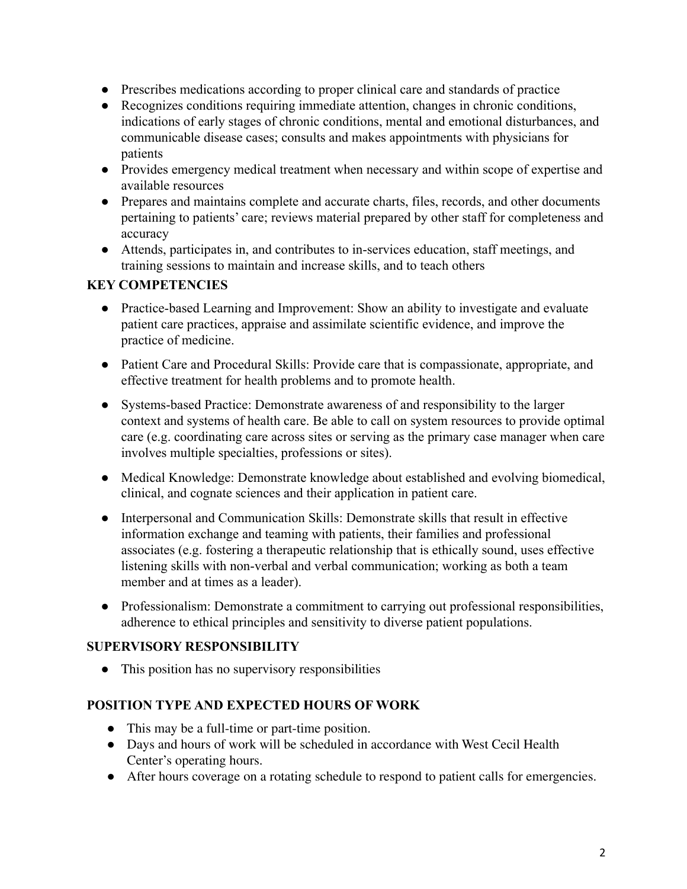- Prescribes medications according to proper clinical care and standards of practice
- Recognizes conditions requiring immediate attention, changes in chronic conditions, indications of early stages of chronic conditions, mental and emotional disturbances, and communicable disease cases; consults and makes appointments with physicians for patients
- Provides emergency medical treatment when necessary and within scope of expertise and available resources
- Prepares and maintains complete and accurate charts, files, records, and other documents pertaining to patients' care; reviews material prepared by other staff for completeness and accuracy
- Attends, participates in, and contributes to in-services education, staff meetings, and training sessions to maintain and increase skills, and to teach others

# **KEY COMPETENCIES**

- Practice-based Learning and Improvement: Show an ability to investigate and evaluate patient care practices, appraise and assimilate scientific evidence, and improve the practice of medicine.
- Patient Care and Procedural Skills: Provide care that is compassionate, appropriate, and effective treatment for health problems and to promote health.
- Systems-based Practice: Demonstrate awareness of and responsibility to the larger context and systems of health care. Be able to call on system resources to provide optimal care (e.g. coordinating care across sites or serving as the primary case manager when care involves multiple specialties, professions or sites).
- Medical Knowledge: Demonstrate knowledge about established and evolving biomedical, clinical, and cognate sciences and their application in patient care.
- Interpersonal and Communication Skills: Demonstrate skills that result in effective information exchange and teaming with patients, their families and professional associates (e.g. fostering a therapeutic relationship that is ethically sound, uses effective listening skills with non-verbal and verbal communication; working as both a team member and at times as a leader).
- Professionalism: Demonstrate a commitment to carrying out professional responsibilities, adherence to ethical principles and sensitivity to diverse patient populations.

# **SUPERVISORY RESPONSIBILITY**

• This position has no supervisory responsibilities

# **POSITION TYPE AND EXPECTED HOURS OF WORK**

- This may be a full-time or part-time position.
- Days and hours of work will be scheduled in accordance with West Cecil Health Center's operating hours.
- After hours coverage on a rotating schedule to respond to patient calls for emergencies.